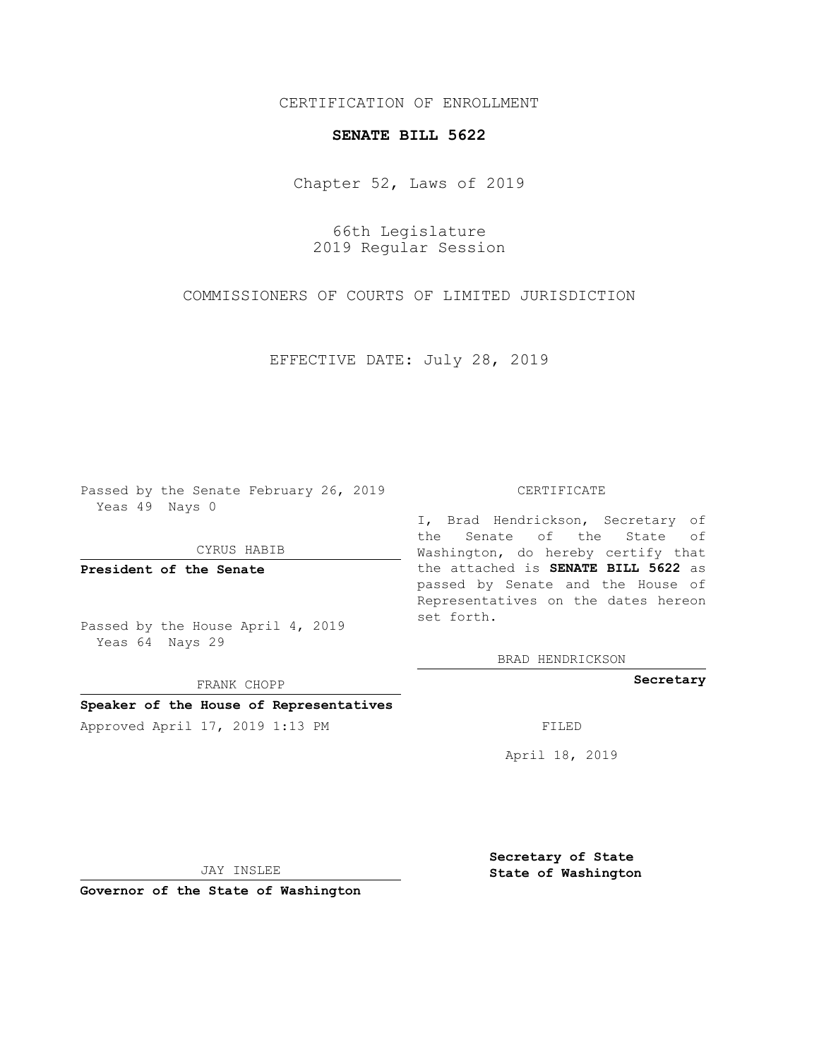## CERTIFICATION OF ENROLLMENT

## **SENATE BILL 5622**

Chapter 52, Laws of 2019

66th Legislature 2019 Regular Session

COMMISSIONERS OF COURTS OF LIMITED JURISDICTION

EFFECTIVE DATE: July 28, 2019

Passed by the Senate February 26, 2019 Yeas 49 Nays 0

CYRUS HABIB

**President of the Senate**

Passed by the House April 4, 2019 Yeas 64 Nays 29

FRANK CHOPP

## **Speaker of the House of Representatives**

Approved April 17, 2019 1:13 PM FILED

## CERTIFICATE

I, Brad Hendrickson, Secretary of the Senate of the State of Washington, do hereby certify that the attached is **SENATE BILL 5622** as passed by Senate and the House of Representatives on the dates hereon set forth.

BRAD HENDRICKSON

**Secretary**

April 18, 2019

JAY INSLEE

**Governor of the State of Washington**

**Secretary of State State of Washington**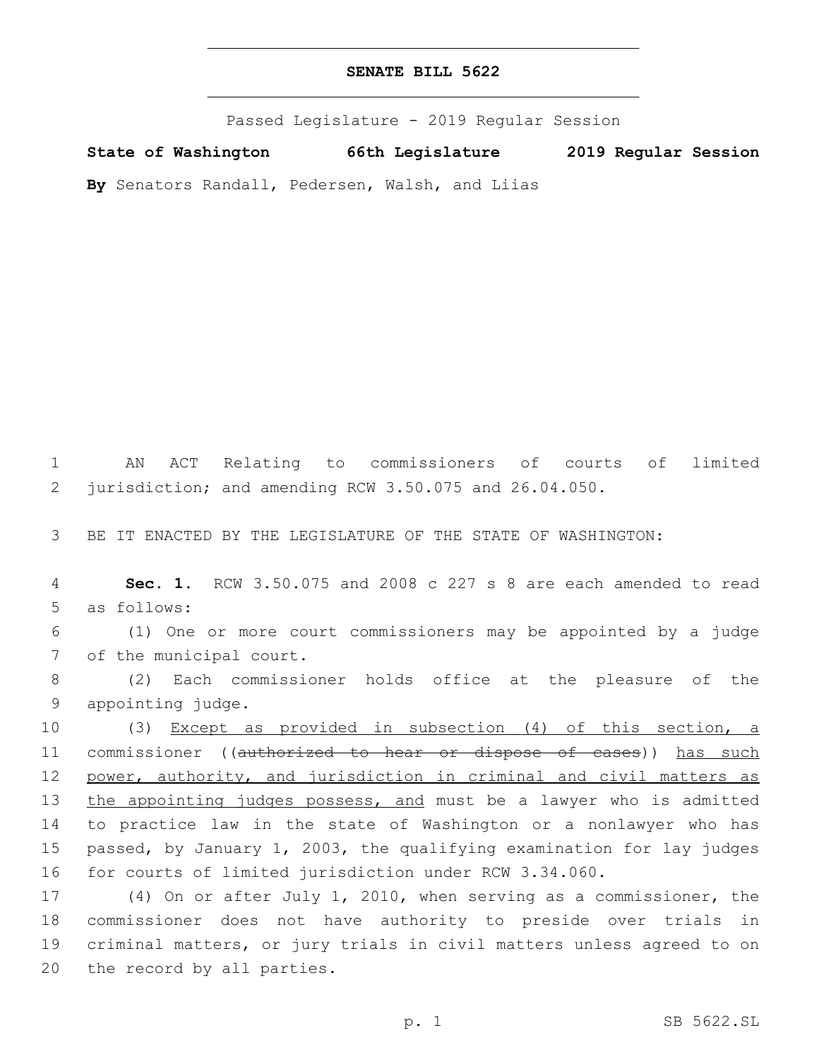Passed Legislature - 2019 Regular Session

**State of Washington 66th Legislature 2019 Regular Session**

**By** Senators Randall, Pedersen, Walsh, and Liias

1 AN ACT Relating to commissioners of courts of limited 2 jurisdiction; and amending RCW 3.50.075 and 26.04.050.

3 BE IT ENACTED BY THE LEGISLATURE OF THE STATE OF WASHINGTON:

4 **Sec. 1.** RCW 3.50.075 and 2008 c 227 s 8 are each amended to read 5 as follows:

6 (1) One or more court commissioners may be appointed by a judge 7 of the municipal court.

8 (2) Each commissioner holds office at the pleasure of the 9 appointing judge.

10 (3) Except as provided in subsection (4) of this section, a 11 commissioner ((authorized to hear or dispose of cases)) has such 12 power, authority, and jurisdiction in criminal and civil matters as 13 the appointing judges possess, and must be a lawyer who is admitted 14 to practice law in the state of Washington or a nonlawyer who has 15 passed, by January 1, 2003, the qualifying examination for lay judges 16 for courts of limited jurisdiction under RCW 3.34.060.

 (4) On or after July 1, 2010, when serving as a commissioner, the commissioner does not have authority to preside over trials in criminal matters, or jury trials in civil matters unless agreed to on 20 the record by all parties.